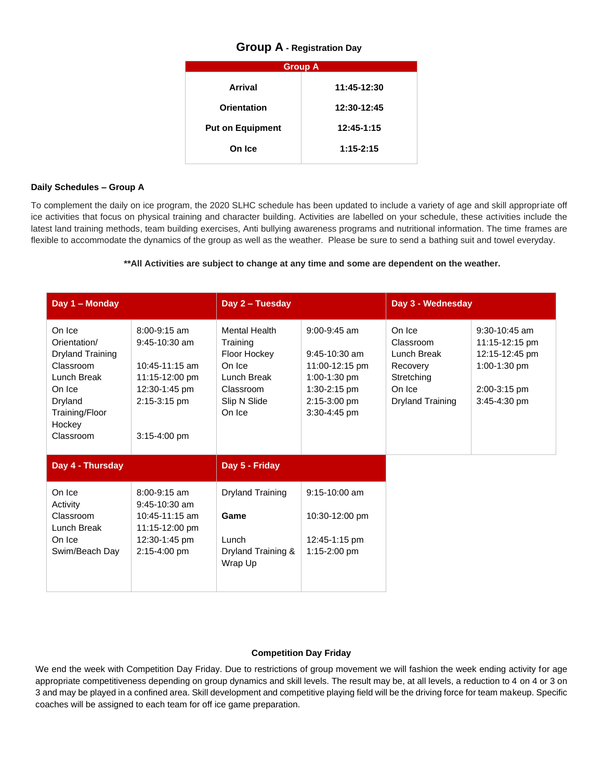## **Group A - Registration Day**

| <b>Group A</b>          |               |
|-------------------------|---------------|
| Arrival                 | 11:45-12:30   |
| <b>Orientation</b>      | 12:30-12:45   |
| <b>Put on Equipment</b> | 12:45-1:15    |
| On Ice                  | $1:15 - 2:15$ |
|                         |               |

### **Daily Schedules – Group A**

To complement the daily on ice program, the 2020 SLHC schedule has been updated to include a variety of age and skill appropriate off ice activities that focus on physical training and character building. Activities are labelled on your schedule, these activities include the latest land training methods, team building exercises, Anti bullying awareness programs and nutritional information. The time frames are flexible to accommodate the dynamics of the group as well as the weather. Please be sure to send a bathing suit and towel everyday.

## **\*\*All Activities are subject to change at any time and some are dependent on the weather.**

| Day 1 - Monday                                                                                                                              |                                                                                                                          | Day 2 - Tuesday                                                                                                  |                                                                                                                       | Day 3 - Wednesday                                                                                 |                                                                                                   |
|---------------------------------------------------------------------------------------------------------------------------------------------|--------------------------------------------------------------------------------------------------------------------------|------------------------------------------------------------------------------------------------------------------|-----------------------------------------------------------------------------------------------------------------------|---------------------------------------------------------------------------------------------------|---------------------------------------------------------------------------------------------------|
| On Ice<br>Orientation/<br><b>Dryland Training</b><br>Classroom<br>Lunch Break<br>On Ice<br>Dryland<br>Training/Floor<br>Hockey<br>Classroom | $8:00 - 9:15$ am<br>$9:45-10:30$ am<br>10:45-11:15 am<br>11:15-12:00 pm<br>12:30-1:45 pm<br>2:15-3:15 pm<br>3:15-4:00 pm | <b>Mental Health</b><br>Training<br>Floor Hockey<br>On Ice<br>Lunch Break<br>Classroom<br>Slip N Slide<br>On Ice | $9:00 - 9:45$ am<br>$9:45-10:30$ am<br>11:00-12:15 pm<br>1:00-1:30 pm<br>1:30-2:15 pm<br>2:15-3:00 pm<br>3:30-4:45 pm | On Ice<br>Classroom<br>Lunch Break<br>Recovery<br>Stretching<br>On Ice<br><b>Dryland Training</b> | 9:30-10:45 am<br>11:15-12:15 pm<br>12:15-12:45 pm<br>1:00-1:30 pm<br>2:00-3:15 pm<br>3:45-4:30 pm |
| Day 4 - Thursday                                                                                                                            |                                                                                                                          | Day 5 - Friday                                                                                                   |                                                                                                                       |                                                                                                   |                                                                                                   |
| On Ice<br>Activity<br>Classroom<br>Lunch Break<br>On Ice<br>Swim/Beach Day                                                                  | $8:00 - 9:15$ am<br>$9:45-10:30$ am<br>10:45-11:15 am<br>11:15-12:00 pm<br>12:30-1:45 pm<br>2:15-4:00 pm                 | <b>Dryland Training</b><br>Game<br>Lunch<br>Dryland Training &<br>Wrap Up                                        | $9:15-10:00$ am<br>10:30-12:00 pm<br>12:45-1:15 pm<br>1:15-2:00 pm                                                    |                                                                                                   |                                                                                                   |

## **Competition Day Friday**

We end the week with Competition Day Friday. Due to restrictions of group movement we will fashion the week ending activity for age appropriate competitiveness depending on group dynamics and skill levels. The result may be, at all levels, a reduction to 4 on 4 or 3 on 3 and may be played in a confined area. Skill development and competitive playing field will be the driving force for team makeup. Specific coaches will be assigned to each team for off ice game preparation.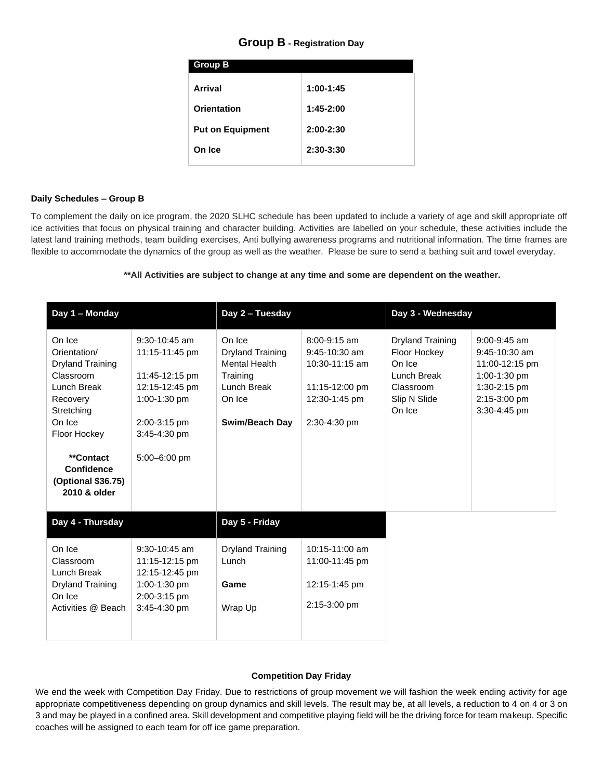# **Group B - Registration Day**

| <b>Group B</b>          |             |
|-------------------------|-------------|
| Arrival                 | $1:00-1:45$ |
| Orientation             | $1:45-2:00$ |
| <b>Put on Equipment</b> | $2:00-2:30$ |
| On Ice                  | $2:30-3:30$ |
|                         |             |

#### **Daily Schedules – Group B**

To complement the daily on ice program, the 2020 SLHC schedule has been updated to include a variety of age and skill appropriate off ice activities that focus on physical training and character building. Activities are labelled on your schedule, these activities include the latest land training methods, team building exercises, Anti bullying awareness programs and nutritional information. The time frames are flexible to accommodate the dynamics of the group as well as the weather. Please be sure to send a bathing suit and towel everyday.

### **\*\*All Activities are subject to change at any time and some are dependent on the weather.**

| Day 1 - Monday                                                                                                                                                                                            |                                                                                                                                       | Day 2 - Tuesday                                                                                                  |                                                                                                        | Day 3 - Wednesday                                                                                       |                                                                                                                       |
|-----------------------------------------------------------------------------------------------------------------------------------------------------------------------------------------------------------|---------------------------------------------------------------------------------------------------------------------------------------|------------------------------------------------------------------------------------------------------------------|--------------------------------------------------------------------------------------------------------|---------------------------------------------------------------------------------------------------------|-----------------------------------------------------------------------------------------------------------------------|
| On Ice<br>Orientation/<br><b>Dryland Training</b><br>Classroom<br>Lunch Break<br>Recovery<br>Stretching<br>On Ice<br>Floor Hockey<br>**Contact<br><b>Confidence</b><br>(Optional \$36.75)<br>2010 & older | $9:30-10:45$ am<br>11:15-11:45 pm<br>11:45-12:15 pm<br>12:15-12:45 pm<br>1:00-1:30 pm<br>2:00-3:15 pm<br>3:45-4:30 pm<br>5:00-6:00 pm | On Ice<br><b>Dryland Training</b><br><b>Mental Health</b><br>Training<br>Lunch Break<br>On Ice<br>Swim/Beach Day | $8:00 - 9:15$ am<br>9:45-10:30 am<br>10:30-11:15 am<br>11:15-12:00 pm<br>12:30-1:45 pm<br>2:30-4:30 pm | <b>Dryland Training</b><br>Floor Hockey<br>On Ice<br>Lunch Break<br>Classroom<br>Slip N Slide<br>On Ice | $9:00 - 9:45$ am<br>$9:45-10:30$ am<br>11:00-12:15 pm<br>1:00-1:30 pm<br>1:30-2:15 pm<br>2:15-3:00 pm<br>3:30-4:45 pm |
| Day 4 - Thursday                                                                                                                                                                                          |                                                                                                                                       | Day 5 - Friday                                                                                                   |                                                                                                        |                                                                                                         |                                                                                                                       |
| On Ice<br>Classroom<br>Lunch Break<br><b>Dryland Training</b><br>On Ice<br>Activities @ Beach                                                                                                             | 9:30-10:45 am<br>11:15-12:15 pm<br>12:15-12:45 pm<br>1:00-1:30 pm<br>2:00-3:15 pm<br>3:45-4:30 pm                                     | <b>Dryland Training</b><br>Lunch<br>Game<br>Wrap Up                                                              | 10:15-11:00 am<br>11:00-11:45 pm<br>12:15-1:45 pm<br>2:15-3:00 pm                                      |                                                                                                         |                                                                                                                       |

## **Competition Day Friday**

We end the week with Competition Day Friday. Due to restrictions of group movement we will fashion the week ending activity for age appropriate competitiveness depending on group dynamics and skill levels. The result may be, at all levels, a reduction to 4 on 4 or 3 on 3 and may be played in a confined area. Skill development and competitive playing field will be the driving force for team makeup. Specific coaches will be assigned to each team for off ice game preparation.